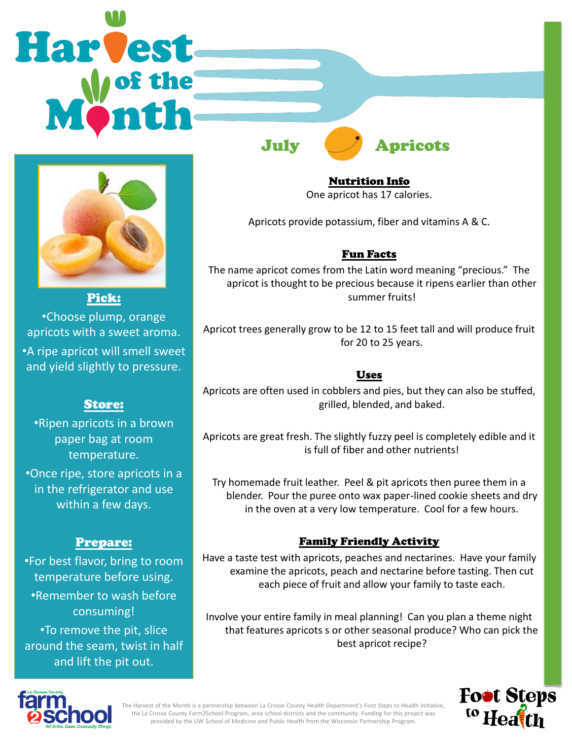# **Harvest**



Pick: •Choose plump, orange apricots with a sweet aroma. •A ripe apricot will smell sweet and yield slightly to pressure.

# Store:

•Ripen apricots in a brown paper bag at room temperature.

•Once ripe, store apricots in a in the refrigerator and use within a few days.

# Prepare:

•For best flavor, bring to room temperature before using. •Remember to wash before consuming! •To remove the pit, slice

around the seam, twist in half and lift the pit out.



Nutrition Info One apricot has 17 calories.

Apricots provide potassium, fiber and vitamins A & C.

# Fun Facts

The name apricot comes from the Latin word meaning "precious." The apricot is thought to be precious because it ripens earlier than other summer fruits!

Apricot trees generally grow to be 12 to 15 feet tall and will produce fruit for 20 to 25 years.

### Uses

Apricots are often used in cobblers and pies, but they can also be stuffed, grilled, blended, and baked.

Apricots are great fresh. The slightly fuzzy peel is completely edible and it is full of fiber and other nutrients!

Try homemade fruit leather. Peel & pit apricots then puree them in a blender. Pour the puree onto wax paper-lined cookie sheets and dry in the oven at a very low temperature. Cool for a few hours.

## Family Friendly Activity

Have a taste test with apricots, peaches and nectarines. Have your family examine the apricots, peach and nectarine before tasting. Then cut each piece of fruit and allow your family to taste each.

Involve your entire family in meal planning! Can you plan a theme night that features apricots s or other seasonal produce? Who can pick the best apricot recipe?





The Harvest of the Month is a partnership between La Crosse County Health Department's Foot Steps to Health initiative, the La Crosse County Farm2School Program, area school districts and the community. Funding for this project was provided by the UW School of Medicine and Public Health from the Wisconsin Partnership Program.